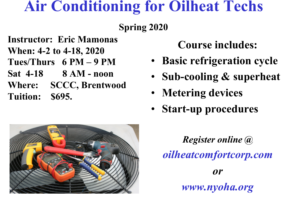## **Air Conditioning for Oilheat Techs**

## **Spring 2020**

- **Instructor: Eric Mamonas**
- **When: 4-2 to 4-18, 2020**
- **Tues/Thurs 6 PM 9 PM**
- **Sat 4-18 8 AM noon**
- **Where: SCCC, Brentwood Tuition: \$695.**

## **Course includes:**

- **Basic refrigeration cycle**
- **Sub-cooling & superheat**
- **Metering devices**
- **Start-up procedures**